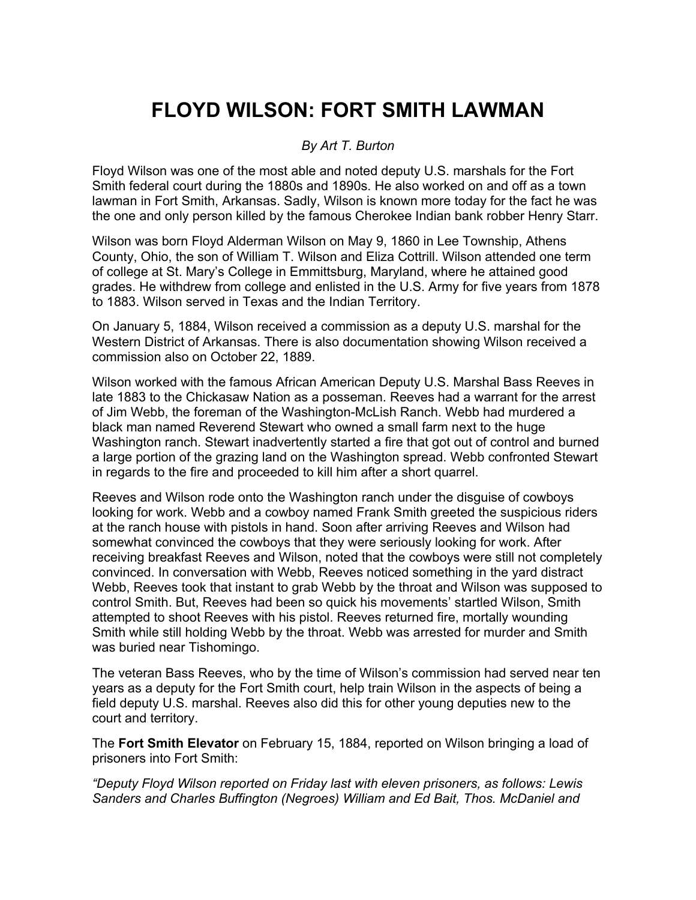## **FLOYD WILSON: FORT SMITH LAWMAN**

## *By Art T. Burton*

Floyd Wilson was one of the most able and noted deputy U.S. marshals for the Fort Smith federal court during the 1880s and 1890s. He also worked on and off as a town lawman in Fort Smith, Arkansas. Sadly, Wilson is known more today for the fact he was the one and only person killed by the famous Cherokee Indian bank robber Henry Starr.

Wilson was born Floyd Alderman Wilson on May 9, 1860 in Lee Township, Athens County, Ohio, the son of William T. Wilson and Eliza Cottrill. Wilson attended one term of college at St. Mary's College in Emmittsburg, Maryland, where he attained good grades. He withdrew from college and enlisted in the U.S. Army for five years from 1878 to 1883. Wilson served in Texas and the Indian Territory.

On January 5, 1884, Wilson received a commission as a deputy U.S. marshal for the Western District of Arkansas. There is also documentation showing Wilson received a commission also on October 22, 1889.

Wilson worked with the famous African American Deputy U.S. Marshal Bass Reeves in late 1883 to the Chickasaw Nation as a posseman. Reeves had a warrant for the arrest of Jim Webb, the foreman of the Washington-McLish Ranch. Webb had murdered a black man named Reverend Stewart who owned a small farm next to the huge Washington ranch. Stewart inadvertently started a fire that got out of control and burned a large portion of the grazing land on the Washington spread. Webb confronted Stewart in regards to the fire and proceeded to kill him after a short quarrel.

Reeves and Wilson rode onto the Washington ranch under the disguise of cowboys looking for work. Webb and a cowboy named Frank Smith greeted the suspicious riders at the ranch house with pistols in hand. Soon after arriving Reeves and Wilson had somewhat convinced the cowboys that they were seriously looking for work. After receiving breakfast Reeves and Wilson, noted that the cowboys were still not completely convinced. In conversation with Webb, Reeves noticed something in the yard distract Webb, Reeves took that instant to grab Webb by the throat and Wilson was supposed to control Smith. But, Reeves had been so quick his movements' startled Wilson, Smith attempted to shoot Reeves with his pistol. Reeves returned fire, mortally wounding Smith while still holding Webb by the throat. Webb was arrested for murder and Smith was buried near Tishomingo.

The veteran Bass Reeves, who by the time of Wilson's commission had served near ten years as a deputy for the Fort Smith court, help train Wilson in the aspects of being a field deputy U.S. marshal. Reeves also did this for other young deputies new to the court and territory.

The **Fort Smith Elevator** on February 15, 1884, reported on Wilson bringing a load of prisoners into Fort Smith:

*"Deputy Floyd Wilson reported on Friday last with eleven prisoners, as follows: Lewis Sanders and Charles Buffington (Negroes) William and Ed Bait, Thos. McDaniel and*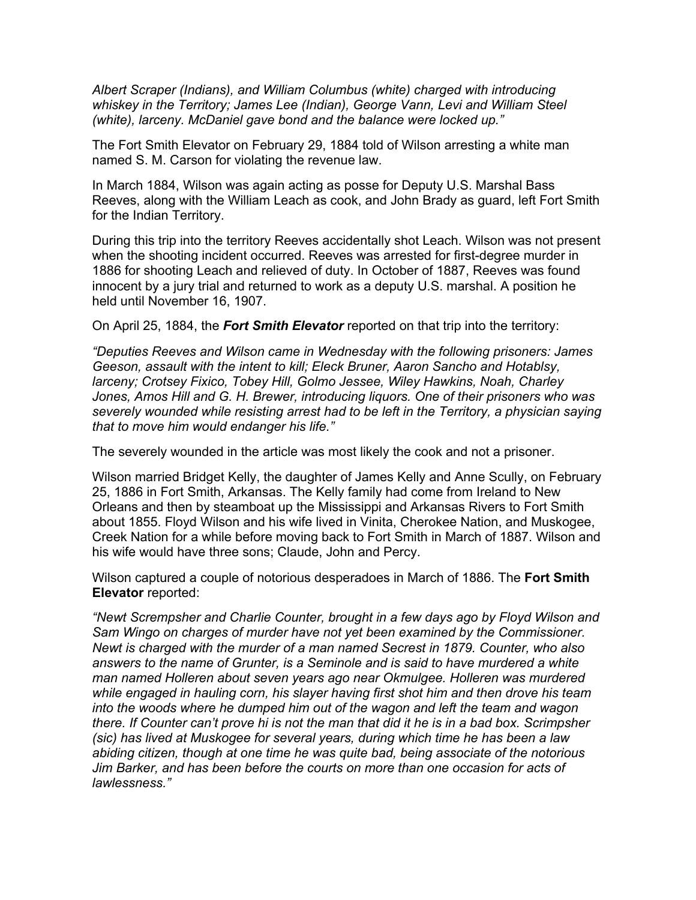*Albert Scraper (Indians), and William Columbus (white) charged with introducing*  whiskey in the Territory; James Lee (Indian), George Vann, Levi and William Steel *(white), larceny. McDaniel gave bond and the balance were locked up."*

The Fort Smith Elevator on February 29, 1884 told of Wilson arresting a white man named S. M. Carson for violating the revenue law.

In March 1884, Wilson was again acting as posse for Deputy U.S. Marshal Bass Reeves, along with the William Leach as cook, and John Brady as guard, left Fort Smith for the Indian Territory.

During this trip into the territory Reeves accidentally shot Leach. Wilson was not present when the shooting incident occurred. Reeves was arrested for first-degree murder in 1886 for shooting Leach and relieved of duty. In October of 1887, Reeves was found innocent by a jury trial and returned to work as a deputy U.S. marshal. A position he held until November 16, 1907.

On April 25, 1884, the *Fort Smith Elevator* reported on that trip into the territory:

*"Deputies Reeves and Wilson came in Wednesday with the following prisoners: James Geeson, assault with the intent to kill; Eleck Bruner, Aaron Sancho and Hotablsy, larceny; Crotsey Fixico, Tobey Hill, Golmo Jessee, Wiley Hawkins, Noah, Charley Jones, Amos Hill and G. H. Brewer, introducing liquors. One of their prisoners who was severely wounded while resisting arrest had to be left in the Territory, a physician saying that to move him would endanger his life."*

The severely wounded in the article was most likely the cook and not a prisoner.

Wilson married Bridget Kelly, the daughter of James Kelly and Anne Scully, on February 25, 1886 in Fort Smith, Arkansas. The Kelly family had come from Ireland to New Orleans and then by steamboat up the Mississippi and Arkansas Rivers to Fort Smith about 1855. Floyd Wilson and his wife lived in Vinita, Cherokee Nation, and Muskogee, Creek Nation for a while before moving back to Fort Smith in March of 1887. Wilson and his wife would have three sons; Claude, John and Percy.

Wilson captured a couple of notorious desperadoes in March of 1886. The **Fort Smith Elevator** reported:

*"Newt Scrempsher and Charlie Counter, brought in a few days ago by Floyd Wilson and Sam Wingo on charges of murder have not yet been examined by the Commissioner. Newt is charged with the murder of a man named Secrest in 1879. Counter, who also answers to the name of Grunter, is a Seminole and is said to have murdered a white man named Holleren about seven years ago near Okmulgee. Holleren was murdered while engaged in hauling corn, his slayer having first shot him and then drove his team into the woods where he dumped him out of the wagon and left the team and wagon there. If Counter can't prove hi is not the man that did it he is in a bad box. Scrimpsher (sic) has lived at Muskogee for several years, during which time he has been a law abiding citizen, though at one time he was quite bad, being associate of the notorious Jim Barker, and has been before the courts on more than one occasion for acts of lawlessness."*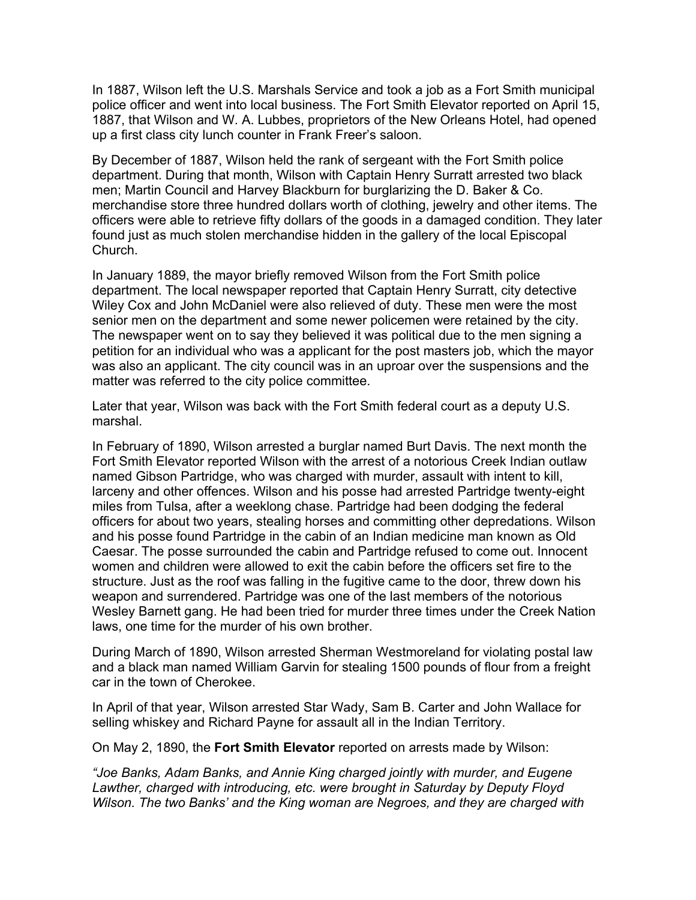In 1887, Wilson left the U.S. Marshals Service and took a job as a Fort Smith municipal police officer and went into local business. The Fort Smith Elevator reported on April 15, 1887, that Wilson and W. A. Lubbes, proprietors of the New Orleans Hotel, had opened up a first class city lunch counter in Frank Freer's saloon.

By December of 1887, Wilson held the rank of sergeant with the Fort Smith police department. During that month, Wilson with Captain Henry Surratt arrested two black men; Martin Council and Harvey Blackburn for burglarizing the D. Baker & Co. merchandise store three hundred dollars worth of clothing, jewelry and other items. The officers were able to retrieve fifty dollars of the goods in a damaged condition. They later found just as much stolen merchandise hidden in the gallery of the local Episcopal Church.

In January 1889, the mayor briefly removed Wilson from the Fort Smith police department. The local newspaper reported that Captain Henry Surratt, city detective Wiley Cox and John McDaniel were also relieved of duty. These men were the most senior men on the department and some newer policemen were retained by the city. The newspaper went on to say they believed it was political due to the men signing a petition for an individual who was a applicant for the post masters job, which the mayor was also an applicant. The city council was in an uproar over the suspensions and the matter was referred to the city police committee.

Later that year, Wilson was back with the Fort Smith federal court as a deputy U.S. marshal.

In February of 1890, Wilson arrested a burglar named Burt Davis. The next month the Fort Smith Elevator reported Wilson with the arrest of a notorious Creek Indian outlaw named Gibson Partridge, who was charged with murder, assault with intent to kill, larceny and other offences. Wilson and his posse had arrested Partridge twenty-eight miles from Tulsa, after a weeklong chase. Partridge had been dodging the federal officers for about two years, stealing horses and committing other depredations. Wilson and his posse found Partridge in the cabin of an Indian medicine man known as Old Caesar. The posse surrounded the cabin and Partridge refused to come out. Innocent women and children were allowed to exit the cabin before the officers set fire to the structure. Just as the roof was falling in the fugitive came to the door, threw down his weapon and surrendered. Partridge was one of the last members of the notorious Wesley Barnett gang. He had been tried for murder three times under the Creek Nation laws, one time for the murder of his own brother.

During March of 1890, Wilson arrested Sherman Westmoreland for violating postal law and a black man named William Garvin for stealing 1500 pounds of flour from a freight car in the town of Cherokee.

In April of that year, Wilson arrested Star Wady, Sam B. Carter and John Wallace for selling whiskey and Richard Payne for assault all in the Indian Territory.

On May 2, 1890, the **Fort Smith Elevator** reported on arrests made by Wilson:

*"Joe Banks, Adam Banks, and Annie King charged jointly with murder, and Eugene Lawther, charged with introducing, etc. were brought in Saturday by Deputy Floyd Wilson. The two Banks' and the King woman are Negroes, and they are charged with*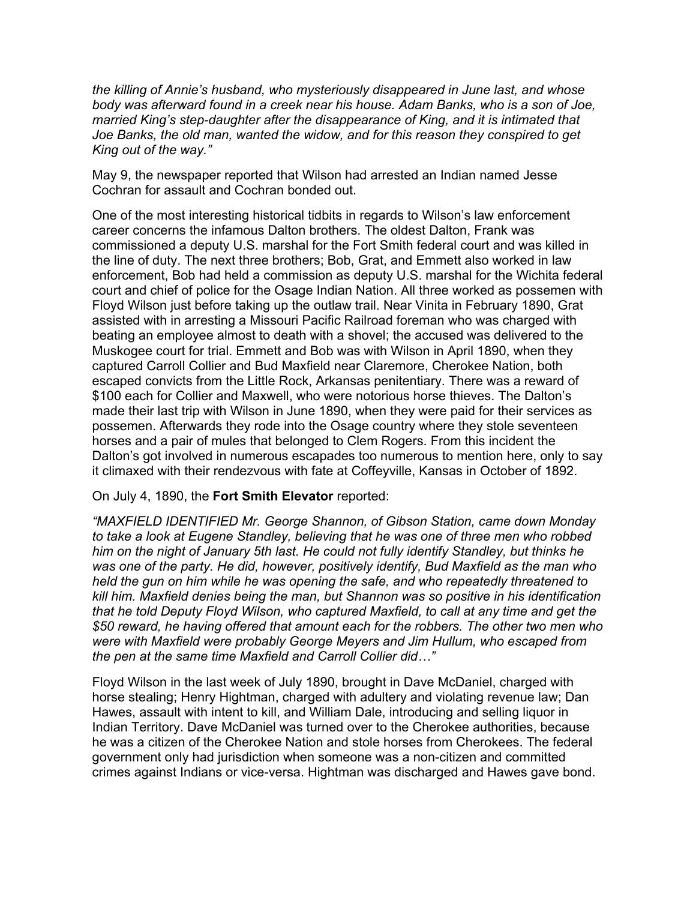*the killing of Annie's husband, who mysteriously disappeared in June last, and whose body was afterward found in a creek near his house. Adam Banks, who is a son of Joe, married King's step-daughter after the disappearance of King, and it is intimated that Joe Banks, the old man, wanted the widow, and for this reason they conspired to get King out of the way."*

May 9, the newspaper reported that Wilson had arrested an Indian named Jesse Cochran for assault and Cochran bonded out.

One of the most interesting historical tidbits in regards to Wilson's law enforcement career concerns the infamous Dalton brothers. The oldest Dalton, Frank was commissioned a deputy U.S. marshal for the Fort Smith federal court and was killed in the line of duty. The next three brothers; Bob, Grat, and Emmett also worked in law enforcement, Bob had held a commission as deputy U.S. marshal for the Wichita federal court and chief of police for the Osage Indian Nation. All three worked as possemen with Floyd Wilson just before taking up the outlaw trail. Near Vinita in February 1890, Grat assisted with in arresting a Missouri Pacific Railroad foreman who was charged with beating an employee almost to death with a shovel; the accused was delivered to the Muskogee court for trial. Emmett and Bob was with Wilson in April 1890, when they captured Carroll Collier and Bud Maxfield near Claremore, Cherokee Nation, both escaped convicts from the Little Rock, Arkansas penitentiary. There was a reward of \$100 each for Collier and Maxwell, who were notorious horse thieves. The Dalton's made their last trip with Wilson in June 1890, when they were paid for their services as possemen. Afterwards they rode into the Osage country where they stole seventeen horses and a pair of mules that belonged to Clem Rogers. From this incident the Dalton's got involved in numerous escapades too numerous to mention here, only to say it climaxed with their rendezvous with fate at Coffeyville, Kansas in October of 1892.

## On July 4, 1890, the **Fort Smith Elevator** reported:

*"MAXFIELD IDENTIFIED Mr. George Shannon, of Gibson Station, came down Monday to take a look at Eugene Standley, believing that he was one of three men who robbed him on the night of January 5th last. He could not fully identify Standley, but thinks he was one of the party. He did, however, positively identify, Bud Maxfield as the man who held the gun on him while he was opening the safe, and who repeatedly threatened to kill him. Maxfield denies being the man, but Shannon was so positive in his identification that he told Deputy Floyd Wilson, who captured Maxfield, to call at any time and get the \$50 reward, he having offered that amount each for the robbers. The other two men who were with Maxfield were probably George Meyers and Jim Hullum, who escaped from the pen at the same time Maxfield and Carroll Collier did…"*

Floyd Wilson in the last week of July 1890, brought in Dave McDaniel, charged with horse stealing; Henry Hightman, charged with adultery and violating revenue law; Dan Hawes, assault with intent to kill, and William Dale, introducing and selling liquor in Indian Territory. Dave McDaniel was turned over to the Cherokee authorities, because he was a citizen of the Cherokee Nation and stole horses from Cherokees. The federal government only had jurisdiction when someone was a non-citizen and committed crimes against Indians or vice-versa. Hightman was discharged and Hawes gave bond.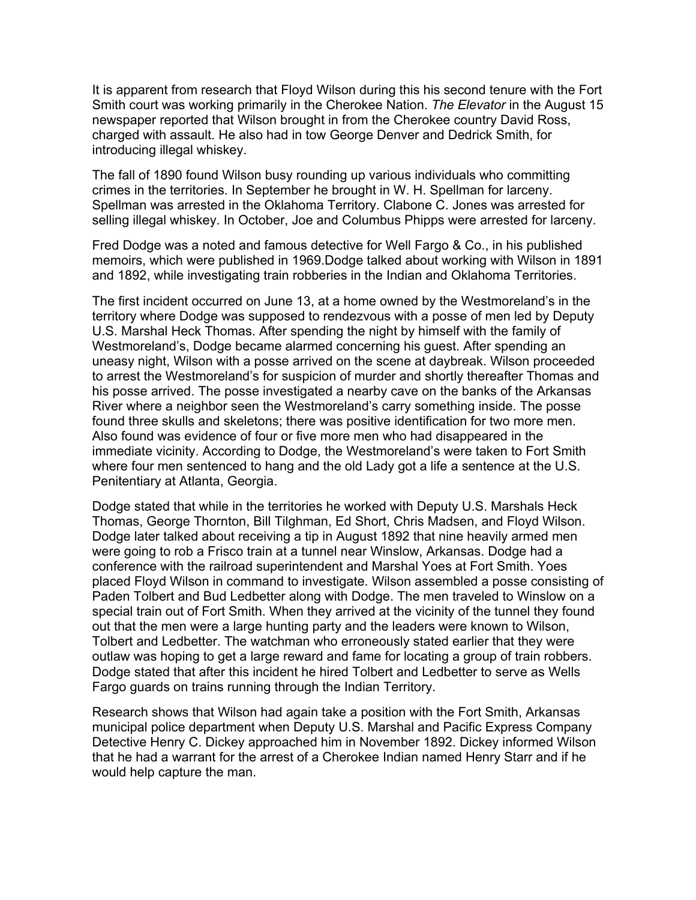It is apparent from research that Floyd Wilson during this his second tenure with the Fort Smith court was working primarily in the Cherokee Nation. *The Elevator* in the August 15 newspaper reported that Wilson brought in from the Cherokee country David Ross, charged with assault. He also had in tow George Denver and Dedrick Smith, for introducing illegal whiskey.

The fall of 1890 found Wilson busy rounding up various individuals who committing crimes in the territories. In September he brought in W. H. Spellman for larceny. Spellman was arrested in the Oklahoma Territory. Clabone C. Jones was arrested for selling illegal whiskey. In October, Joe and Columbus Phipps were arrested for larceny.

Fred Dodge was a noted and famous detective for Well Fargo & Co., in his published memoirs, which were published in 1969.Dodge talked about working with Wilson in 1891 and 1892, while investigating train robberies in the Indian and Oklahoma Territories.

The first incident occurred on June 13, at a home owned by the Westmoreland's in the territory where Dodge was supposed to rendezvous with a posse of men led by Deputy U.S. Marshal Heck Thomas. After spending the night by himself with the family of Westmoreland's, Dodge became alarmed concerning his guest. After spending an uneasy night, Wilson with a posse arrived on the scene at daybreak. Wilson proceeded to arrest the Westmoreland's for suspicion of murder and shortly thereafter Thomas and his posse arrived. The posse investigated a nearby cave on the banks of the Arkansas River where a neighbor seen the Westmoreland's carry something inside. The posse found three skulls and skeletons; there was positive identification for two more men. Also found was evidence of four or five more men who had disappeared in the immediate vicinity. According to Dodge, the Westmoreland's were taken to Fort Smith where four men sentenced to hang and the old Lady got a life a sentence at the U.S. Penitentiary at Atlanta, Georgia.

Dodge stated that while in the territories he worked with Deputy U.S. Marshals Heck Thomas, George Thornton, Bill Tilghman, Ed Short, Chris Madsen, and Floyd Wilson. Dodge later talked about receiving a tip in August 1892 that nine heavily armed men were going to rob a Frisco train at a tunnel near Winslow, Arkansas. Dodge had a conference with the railroad superintendent and Marshal Yoes at Fort Smith. Yoes placed Floyd Wilson in command to investigate. Wilson assembled a posse consisting of Paden Tolbert and Bud Ledbetter along with Dodge. The men traveled to Winslow on a special train out of Fort Smith. When they arrived at the vicinity of the tunnel they found out that the men were a large hunting party and the leaders were known to Wilson, Tolbert and Ledbetter. The watchman who erroneously stated earlier that they were outlaw was hoping to get a large reward and fame for locating a group of train robbers. Dodge stated that after this incident he hired Tolbert and Ledbetter to serve as Wells Fargo guards on trains running through the Indian Territory.

Research shows that Wilson had again take a position with the Fort Smith, Arkansas municipal police department when Deputy U.S. Marshal and Pacific Express Company Detective Henry C. Dickey approached him in November 1892. Dickey informed Wilson that he had a warrant for the arrest of a Cherokee Indian named Henry Starr and if he would help capture the man.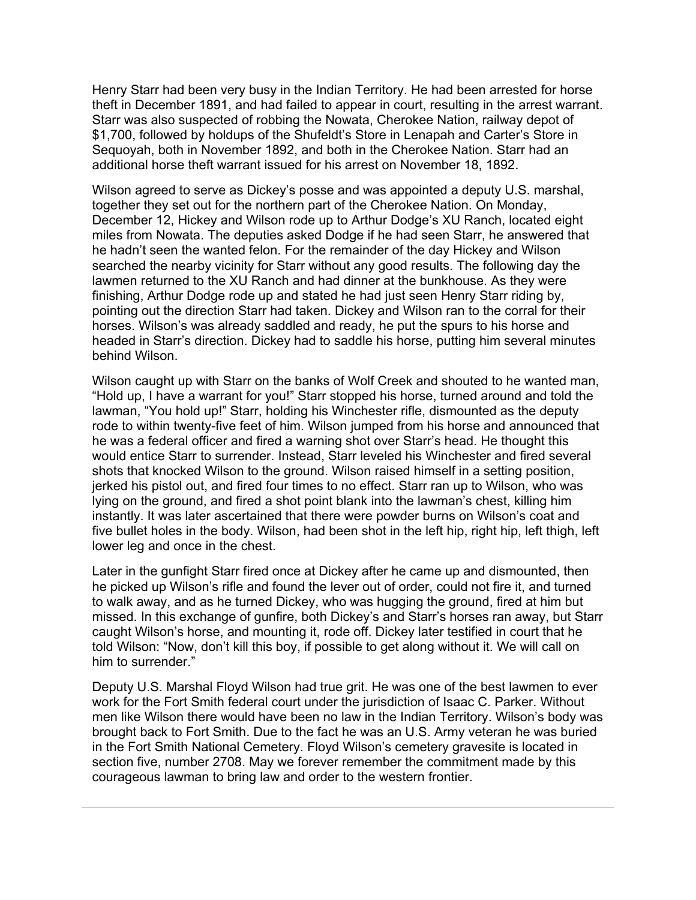Henry Starr had been very busy in the Indian Territory. He had been arrested for horse theft in December 1891, and had failed to appear in court, resulting in the arrest warrant. Starr was also suspected of robbing the Nowata, Cherokee Nation, railway depot of \$1,700, followed by holdups of the Shufeldt's Store in Lenapah and Carter's Store in Sequoyah, both in November 1892, and both in the Cherokee Nation. Starr had an additional horse theft warrant issued for his arrest on November 18, 1892.

Wilson agreed to serve as Dickey's posse and was appointed a deputy U.S. marshal, together they set out for the northern part of the Cherokee Nation. On Monday, December 12, Hickey and Wilson rode up to Arthur Dodge's XU Ranch, located eight miles from Nowata. The deputies asked Dodge if he had seen Starr, he answered that he hadn't seen the wanted felon. For the remainder of the day Hickey and Wilson searched the nearby vicinity for Starr without any good results. The following day the lawmen returned to the XU Ranch and had dinner at the bunkhouse. As they were finishing, Arthur Dodge rode up and stated he had just seen Henry Starr riding by, pointing out the direction Starr had taken. Dickey and Wilson ran to the corral for their horses. Wilson's was already saddled and ready, he put the spurs to his horse and headed in Starr's direction. Dickey had to saddle his horse, putting him several minutes behind Wilson.

Wilson caught up with Starr on the banks of Wolf Creek and shouted to he wanted man, "Hold up, I have a warrant for you!" Starr stopped his horse, turned around and told the lawman, "You hold up!" Starr, holding his Winchester rifle, dismounted as the deputy rode to within twenty-five feet of him. Wilson jumped from his horse and announced that he was a federal officer and fired a warning shot over Starr's head. He thought this would entice Starr to surrender. Instead, Starr leveled his Winchester and fired several shots that knocked Wilson to the ground. Wilson raised himself in a setting position, jerked his pistol out, and fired four times to no effect. Starr ran up to Wilson, who was lying on the ground, and fired a shot point blank into the lawman's chest, killing him instantly. It was later ascertained that there were powder burns on Wilson's coat and five bullet holes in the body. Wilson, had been shot in the left hip, right hip, left thigh, left lower leg and once in the chest.

Later in the gunfight Starr fired once at Dickey after he came up and dismounted, then he picked up Wilson's rifle and found the lever out of order, could not fire it, and turned to walk away, and as he turned Dickey, who was hugging the ground, fired at him but missed. In this exchange of gunfire, both Dickey's and Starr's horses ran away, but Starr caught Wilson's horse, and mounting it, rode off. Dickey later testified in court that he told Wilson: "Now, don't kill this boy, if possible to get along without it. We will call on him to surrender."

Deputy U.S. Marshal Floyd Wilson had true grit. He was one of the best lawmen to ever work for the Fort Smith federal court under the jurisdiction of Isaac C. Parker. Without men like Wilson there would have been no law in the Indian Territory. Wilson's body was brought back to Fort Smith. Due to the fact he was an U.S. Army veteran he was buried in the Fort Smith National Cemetery. Floyd Wilson's cemetery gravesite is located in section five, number 2708. May we forever remember the commitment made by this courageous lawman to bring law and order to the western frontier.